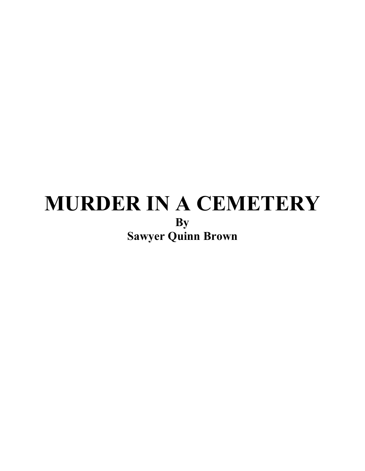# **MURDER IN A CEMETERY By Sawyer Quinn Brown**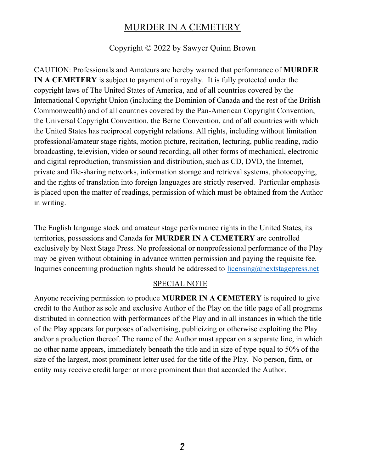#### Copyright © 2022 by Sawyer Quinn Brown

CAUTION: Professionals and Amateurs are hereby warned that performance of **MURDER IN A CEMETERY** is subject to payment of a royalty. It is fully protected under the copyright laws of The United States of America, and of all countries covered by the International Copyright Union (including the Dominion of Canada and the rest of the British Commonwealth) and of all countries covered by the Pan-American Copyright Convention, the Universal Copyright Convention, the Berne Convention, and of all countries with which the United States has reciprocal copyright relations. All rights, including without limitation professional/amateur stage rights, motion picture, recitation, lecturing, public reading, radio broadcasting, television, video or sound recording, all other forms of mechanical, electronic and digital reproduction, transmission and distribution, such as CD, DVD, the Internet, private and file-sharing networks, information storage and retrieval systems, photocopying, and the rights of translation into foreign languages are strictly reserved. Particular emphasis is placed upon the matter of readings, permission of which must be obtained from the Author in writing.

The English language stock and amateur stage performance rights in the United States, its territories, possessions and Canada for **MURDER IN A CEMETERY** are controlled exclusively by Next Stage Press. No professional or nonprofessional performance of the Play may be given without obtaining in advance written permission and paying the requisite fee. Inquiries concerning production rights should be addressed to  $\frac{1}{\text{icensing}(a)}$  nextstagepress.net

#### SPECIAL NOTE

Anyone receiving permission to produce **MURDER IN A CEMETERY** is required to give credit to the Author as sole and exclusive Author of the Play on the title page of all programs distributed in connection with performances of the Play and in all instances in which the title of the Play appears for purposes of advertising, publicizing or otherwise exploiting the Play and/or a production thereof. The name of the Author must appear on a separate line, in which no other name appears, immediately beneath the title and in size of type equal to 50% of the size of the largest, most prominent letter used for the title of the Play. No person, firm, or entity may receive credit larger or more prominent than that accorded the Author.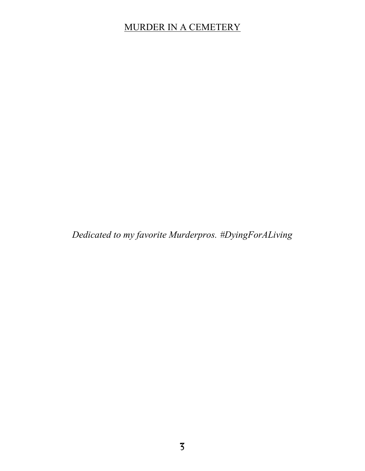*Dedicated to my favorite Murderpros. #DyingForALiving*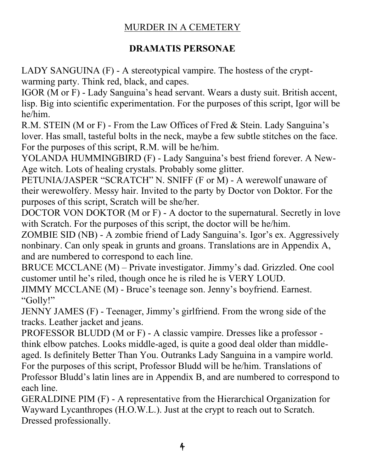#### **DRAMATIS PERSONAE**

LADY SANGUINA (F) - A stereotypical vampire. The hostess of the cryptwarming party. Think red, black, and capes.

IGOR (M or F) - Lady Sanguina's head servant. Wears a dusty suit. British accent, lisp. Big into scientific experimentation. For the purposes of this script, Igor will be he/him.

R.M. STEIN (M or F) - From the Law Offices of Fred & Stein. Lady Sanguina's lover. Has small, tasteful bolts in the neck, maybe a few subtle stitches on the face. For the purposes of this script, R.M. will be he/him.

YOLANDA HUMMINGBIRD (F) - Lady Sanguina's best friend forever. A New-Age witch. Lots of healing crystals. Probably some glitter.

PETUNIA/JASPER "SCRATCH" N. SNIFF (F or M) - A werewolf unaware of their werewolfery. Messy hair. Invited to the party by Doctor von Doktor. For the purposes of this script, Scratch will be she/her.

DOCTOR VON DOKTOR (M or F) - A doctor to the supernatural. Secretly in love with Scratch. For the purposes of this script, the doctor will be he/him.

ZOMBIE SID (NB) - A zombie friend of Lady Sanguina's. Igor's ex. Aggressively nonbinary. Can only speak in grunts and groans. Translations are in Appendix A, and are numbered to correspond to each line.

BRUCE MCCLANE  $(M)$  – Private investigator. Jimmy's dad. Grizzled. One cool customer until he's riled, though once he is riled he is VERY LOUD.

JIMMY MCCLANE (M) - Bruce's teenage son. Jenny's boyfriend. Earnest. "Golly!"

JENNY JAMES (F) - Teenager, Jimmy's girlfriend. From the wrong side of the tracks. Leather jacket and jeans.

PROFESSOR BLUDD (M or F) - A classic vampire. Dresses like a professor think elbow patches. Looks middle-aged, is quite a good deal older than middleaged. Is definitely Better Than You. Outranks Lady Sanguina in a vampire world. For the purposes of this script, Professor Bludd will be he/him. Translations of Professor Bludd's latin lines are in Appendix B, and are numbered to correspond to each line.

GERALDINE PIM (F) - A representative from the Hierarchical Organization for Wayward Lycanthropes (H.O.W.L.). Just at the crypt to reach out to Scratch. Dressed professionally.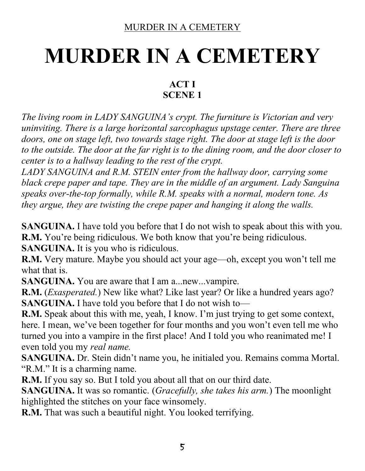# **MURDER IN A CEMETERY**

#### **ACT I SCENE 1**

*The living room in LADY SANGUINA's crypt. The furniture is Victorian and very uninviting. There is a large horizontal sarcophagus upstage center. There are three doors, one on stage left, two towards stage right. The door at stage left is the door to the outside. The door at the far right is to the dining room, and the door closer to center is to a hallway leading to the rest of the crypt.*

*LADY SANGUINA and R.M. STEIN enter from the hallway door, carrying some black crepe paper and tape. They are in the middle of an argument. Lady Sanguina speaks over-the-top formally, while R.M. speaks with a normal, modern tone. As they argue, they are twisting the crepe paper and hanging it along the walls.*

**SANGUINA.** I have told you before that I do not wish to speak about this with you. **R.M.** You're being ridiculous. We both know that you're being ridiculous. **SANGUINA.** It is you who is ridiculous.

**R.M.** Very mature. Maybe you should act your age—oh, except you won't tell me what that is.

**SANGUINA.** You are aware that I am a... new... vampire.

**R.M.** (*Exasperated.*) New like what? Like last year? Or like a hundred years ago? **SANGUINA.** I have told you before that I do not wish to—

**R.M.** Speak about this with me, yeah, I know. I'm just trying to get some context, here. I mean, we've been together for four months and you won't even tell me who turned you into a vampire in the first place! And I told you who reanimated me! I even told you my *real name.*

**SANGUINA.** Dr. Stein didn't name you, he initialed you. Remains comma Mortal. "R.M." It is a charming name.

**R.M.** If you say so. But I told you about all that on our third date.

**SANGUINA.** It was so romantic. (*Gracefully, she takes his arm.*) The moonlight highlighted the stitches on your face winsomely.

**R.M.** That was such a beautiful night. You looked terrifying.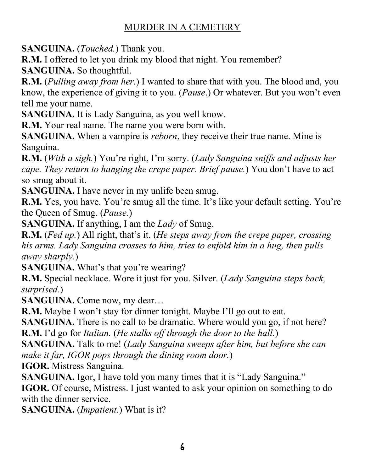**SANGUINA.** (*Touched.*) Thank you.

**R.M.** I offered to let you drink my blood that night. You remember?

**SANGUINA.** So thoughtful.

**R.M.** (*Pulling away from her.*) I wanted to share that with you. The blood and, you know, the experience of giving it to you. (*Pause*.) Or whatever. But you won't even tell me your name.

**SANGUINA.** It is Lady Sanguina, as you well know.

**R.M.** Your real name. The name you were born with.

**SANGUINA.** When a vampire is *reborn*, they receive their true name. Mine is Sanguina.

**R.M.** (*With a sigh.*) You're right, I'm sorry. (*Lady Sanguina sniffs and adjusts her cape. They return to hanging the crepe paper. Brief pause.*) You don't have to act so smug about it.

**SANGUINA.** I have never in my unlife been smug.

**R.M.** Yes, you have. You're smug all the time. It's like your default setting. You're the Queen of Smug. (*Pause.*)

**SANGUINA.** If anything, I am the *Lady* of Smug.

**R.M.** (*Fed up.*) All right, that's it. (*He steps away from the crepe paper, crossing his arms. Lady Sanguina crosses to him, tries to enfold him in a hug, then pulls away sharply.*)

**SANGUINA.** What's that you're wearing?

**R.M.** Special necklace. Wore it just for you. Silver. (*Lady Sanguina steps back, surprised.*)

**SANGUINA.** Come now, my dear...

**R.M.** Maybe I won't stay for dinner tonight. Maybe I'll go out to eat.

**SANGUINA.** There is no call to be dramatic. Where would you go, if not here?

**R.M.** I'd go for *Italian.* (*He stalks off through the door to the hall.*)

**SANGUINA.** Talk to me! (*Lady Sanguina sweeps after him, but before she can make it far, IGOR pops through the dining room door.*)

**IGOR.** Mistress Sanguina.

**SANGUINA.** Igor, I have told you many times that it is "Lady Sanguina."

**IGOR.** Of course, Mistress. I just wanted to ask your opinion on something to do with the dinner service.

**SANGUINA.** (*Impatient.*) What is it?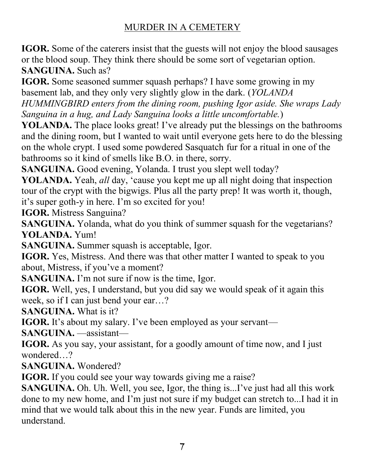**IGOR.** Some of the caterers insist that the guests will not enjoy the blood sausages or the blood soup. They think there should be some sort of vegetarian option. **SANGUINA.** Such as?

**IGOR.** Some seasoned summer squash perhaps? I have some growing in my basement lab, and they only very slightly glow in the dark. (*YOLANDA* 

*HUMMINGBIRD enters from the dining room, pushing Igor aside. She wraps Lady Sanguina in a hug, and Lady Sanguina looks a little uncomfortable.*)

**YOLANDA.** The place looks great! I've already put the blessings on the bathrooms and the dining room, but I wanted to wait until everyone gets here to do the blessing on the whole crypt. I used some powdered Sasquatch fur for a ritual in one of the bathrooms so it kind of smells like B.O. in there, sorry.

**SANGUINA.** Good evening, Yolanda. I trust you slept well today?

**YOLANDA.** Yeah, *all* day, 'cause you kept me up all night doing that inspection tour of the crypt with the bigwigs. Plus all the party prep! It was worth it, though, it's super goth-y in here. I'm so excited for you!

**IGOR.** Mistress Sanguina?

**SANGUINA.** Yolanda, what do you think of summer squash for the vegetarians? **YOLANDA.** Yum!

**SANGUINA.** Summer squash is acceptable, Igor.

**IGOR.** Yes, Mistress. And there was that other matter I wanted to speak to you about, Mistress, if you've a moment?

**SANGUINA.** I'm not sure if now is the time, Igor.

**IGOR.** Well, yes, I understand, but you did say we would speak of it again this week, so if I can just bend your ear...?

**SANGUINA.** What is it?

**IGOR.** It's about my salary. I've been employed as your servant-

SANGUINA. assistant-

**IGOR.** As you say, your assistant, for a goodly amount of time now, and I just wondered...?

**SANGUINA.** Wondered?

**IGOR.** If you could see your way towards giving me a raise?

**SANGUINA.** Oh. Uh. Well, you see, Igor, the thing is...I've just had all this work done to my new home, and I'm just not sure if my budget can stretch to...I had it in mind that we would talk about this in the new year. Funds are limited, you understand.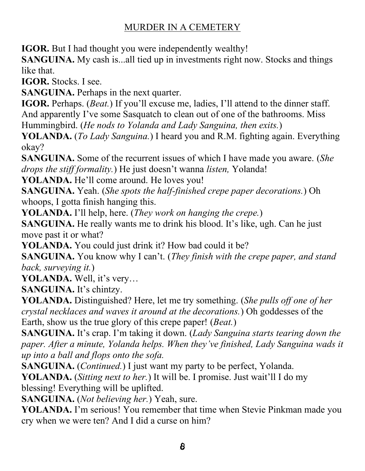**IGOR.** But I had thought you were independently wealthy!

**SANGUINA.** My cash is...all tied up in investments right now. Stocks and things like that.

**IGOR.** Stocks. I see.

**SANGUINA.** Perhaps in the next quarter.

**IGOR.** Perhaps. (*Beat.*) If you'll excuse me, ladies, I'll attend to the dinner staff. And apparently I've some Sasquatch to clean out of one of the bathrooms. Miss Hummingbird. (*He nods to Yolanda and Lady Sanguina, then exits.*)

**YOLANDA.** (*To Lady Sanguina.*) I heard you and R.M. fighting again. Everything okay?

**SANGUINA.** Some of the recurrent issues of which I have made you aware. (*She drops the stiff formality.*) He just doesn't wanna *listen*, Yolanda!

**YOLANDA.** He'll come around. He loves you!

**SANGUINA.** Yeah. (*She spots the half-finished crepe paper decorations.*) Oh whoops, I gotta finish hanging this.

**YOLANDA.** I'll help, here. (*They work on hanging the crepe.*)

**SANGUINA.** He really wants me to drink his blood. It's like, ugh. Can he just move past it or what?

**YOLANDA.** You could just drink it? How bad could it be?

**SANGUINA.** You know why I can't. (*They finish with the crepe paper, and stand back, surveying it.*)

YOLANDA. Well, it's very...

SANGUINA. It's chintzy.

**YOLANDA.** Distinguished? Here, let me try something. (*She pulls off one of her crystal necklaces and waves it around at the decorations.*) Oh goddesses of the Earth, show us the true glory of this crepe paper! (*Beat.*)

**SANGUINA.** It's crap. I'm taking it down. (*Lady Sanguina starts tearing down the paper. After a minute, Yolanda helps. When they've finished, Lady Sanguina wads it up into a ball and flops onto the sofa.*

**SANGUINA.** (*Continued.*) I just want my party to be perfect, Yolanda.

**YOLANDA.** (*Sitting next to her.*) It will be. I promise. Just wait'll I do my blessing! Everything will be uplifted.

**SANGUINA.** (*Not believing her.*) Yeah, sure.

**YOLANDA.** I'm serious! You remember that time when Stevie Pinkman made you cry when we were ten? And I did a curse on him?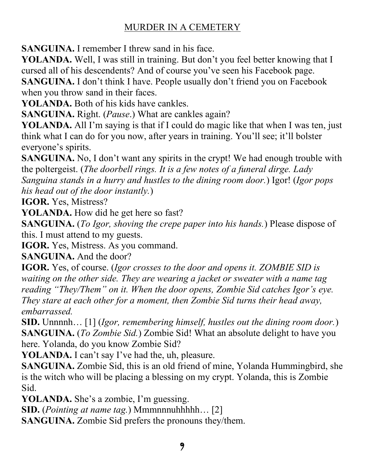**SANGUINA.** I remember I threw sand in his face.

**YOLANDA.** Well, I was still in training. But don't you feel better knowing that I cursed all of his descendents? And of course you've seen his Facebook page.

**SANGUINA.** I don't think I have. People usually don't friend you on Facebook when you throw sand in their faces.

**YOLANDA.** Both of his kids have cankles.

**SANGUINA.** Right. (*Pause*.) What are cankles again?

**YOLANDA.** All I'm saying is that if I could do magic like that when I was ten, just think what I can do for you now, after years in training. You'll see; it'll bolster everyone's spirits.

**SANGUINA.** No, I don't want any spirits in the crypt! We had enough trouble with the poltergeist. (*The doorbell rings. It is a few notes of a funeral dirge. Lady Sanguina stands in a hurry and hustles to the dining room door.*) Igor! (*Igor pops his head out of the door instantly.*)

**IGOR.** Yes, Mistress?

**YOLANDA.** How did he get here so fast?

**SANGUINA.** (*To Igor, shoving the crepe paper into his hands.*) Please dispose of this. I must attend to my guests.

**IGOR.** Yes, Mistress. As you command.

**SANGUINA.** And the door?

**IGOR.** Yes, of course. (*Igor crosses to the door and opens it. ZOMBIE SID is waiting on the other side. They are wearing a jacket or sweater with a name tag reading* "*They/Them*" on it. When the door opens, Zombie Sid catches Igor's eye. *They stare at each other for a moment, then Zombie Sid turns their head away, embarrassed.*

**SID.** Unnnnh... [1] (*Igor, remembering himself, hustles out the dining room door.)* **SANGUINA.** (*To Zombie Sid.*) Zombie Sid! What an absolute delight to have you here. Yolanda, do you know Zombie Sid?

**YOLANDA.** I can't say I've had the, uh, pleasure.

**SANGUINA.** Zombie Sid, this is an old friend of mine, Yolanda Hummingbird, she is the witch who will be placing a blessing on my crypt. Yolanda, this is Zombie Sid.

**YOLANDA.** She's a zombie, I'm guessing.

**SID.** (*Pointing at name tag.*) Mmmnnnuhhhhh... [2]

**SANGUINA.** Zombie Sid prefers the pronouns they/them.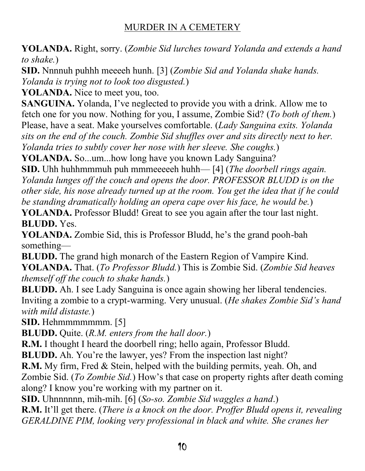**YOLANDA.** Right, sorry. (*Zombie Sid lurches toward Yolanda and extends a hand to shake.*)

**SID.** Nnnnuh puhhh meeeeh hunh. [3] (*Zombie Sid and Yolanda shake hands. Yolanda is trying not to look too disgusted.*)

**YOLANDA.** Nice to meet you, too.

**SANGUINA.** Yolanda, I've neglected to provide you with a drink. Allow me to fetch one for you now. Nothing for you, I assume, Zombie Sid? (*To both of them.*) Please, have a seat. Make yourselves comfortable. (*Lady Sanguina exits. Yolanda sits on the end of the couch. Zombie Sid shuffles over and sits directly next to her. Yolanda tries to subtly cover her nose with her sleeve. She coughs.*)

**YOLANDA.** So...um...how long have you known Lady Sanguina?

**SID.** Uhh huhhmmmuh puh mmmeeeeeh huhh— [4] (*The doorbell rings again. Yolanda lunges off the couch and opens the door. PROFESSOR BLUDD is on the other side, his nose already turned up at the room. You get the idea that if he could be standing dramatically holding an opera cape over his face, he would be.*)

**YOLANDA.** Professor Bludd! Great to see you again after the tour last night. **BLUDD.** Yes.

**YOLANDA.** Zombie Sid, this is Professor Bludd, he's the grand pooh-bah something—

**BLUDD.** The grand high monarch of the Eastern Region of Vampire Kind. **YOLANDA.** That. (*To Professor Bludd.*) This is Zombie Sid. (*Zombie Sid heaves themself off the couch to shake hands.*)

**BLUDD.** Ah. I see Lady Sanguina is once again showing her liberal tendencies. Inviting a zombie to a crypt-warming. Very unusual. (*He shakes Zombie Sid's hand with mild distaste.*)

**SID.** Hehmmmmmmm. [5]

**BLUDD.** Quite. (*R.M. enters from the hall door.*)

**R.M.** I thought I heard the doorbell ring; hello again, Professor Bludd.

**BLUDD.** Ah. You're the lawyer, yes? From the inspection last night?

**R.M.** My firm, Fred & Stein, helped with the building permits, yeah. Oh, and Zombie Sid. (*To Zombie Sid.*) How's that case on property rights after death coming along? I know you're working with my partner on it.

**SID.** Uhnnnnnn, mih-mih. [6] (*So-so. Zombie Sid waggles a hand*.)

**R.M.** It'll get there. (*There is a knock on the door. Proffer Bludd opens it, revealing GERALDINE PIM, looking very professional in black and white. She cranes her*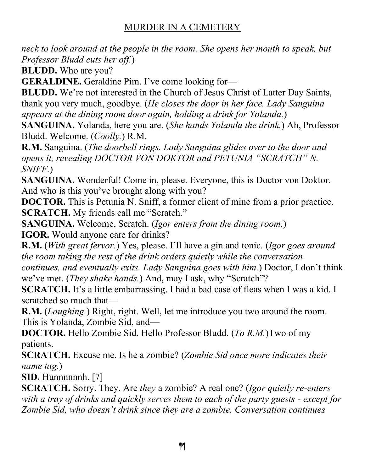*neck to look around at the people in the room. She opens her mouth to speak, but Professor Bludd cuts her off.*)

**BLUDD.** Who are you?

**GERALDINE.** Geraldine Pim. I've come looking for-

**BLUDD.** We're not interested in the Church of Jesus Christ of Latter Day Saints, thank you very much, goodbye. (*He closes the door in her face. Lady Sanguina appears at the dining room door again, holding a drink for Yolanda.*)

**SANGUINA.** Yolanda, here you are. (*She hands Yolanda the drink.*) Ah, Professor Bludd. Welcome. (*Coolly.*) R.M.

**R.M.** Sanguina. (*The doorbell rings. Lady Sanguina glides over to the door and opens it, revealing DOCTOR VON DOKTOR and PETUNIA "SCRATCH" N. SNIFF.*)

**SANGUINA.** Wonderful! Come in, please. Everyone, this is Doctor von Doktor. And who is this you've brought along with you?

**DOCTOR.** This is Petunia N. Sniff, a former client of mine from a prior practice. **SCRATCH.** My friends call me "Scratch."

**SANGUINA.** Welcome, Scratch. (*Igor enters from the dining room.*) **IGOR.** Would anyone care for drinks?

**R.M.** (*With great fervor.*) Yes, please. I'll have a gin and tonic. (*Igor goes around the room taking the rest of the drink orders quietly while the conversation continues, and eventually exits. Lady Sanguina goes with him.*) Doctor, I don't think we've met. (*They shake hands.*) And, may I ask, why "Scratch"?

**SCRATCH.** It's a little embarrassing. I had a bad case of fleas when I was a kid. I scratched so much that—

**R.M.** (*Laughing.*) Right, right. Well, let me introduce you two around the room. This is Yolanda, Zombie Sid, and—

**DOCTOR.** Hello Zombie Sid. Hello Professor Bludd. (*To R.M.*)Two of my patients.

**SCRATCH.** Excuse me. Is he a zombie? (*Zombie Sid once more indicates their name tag.*)

**SID.** Hunnnnnnh. [7]

**SCRATCH.** Sorry. They. Are *they* a zombie? A real one? (*Igor quietly re-enters with a tray of drinks and quickly serves them to each of the party guests - except for Zombie Sid, who doesn't drink since they are a zombie. Conversation continues*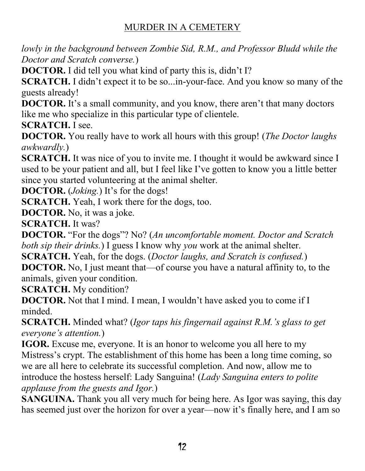*lowly in the background between Zombie Sid, R.M., and Professor Bludd while the Doctor and Scratch converse.*)

**DOCTOR.** I did tell you what kind of party this is, didn't I?

**SCRATCH.** I didn't expect it to be so...in-your-face. And you know so many of the guests already!

**DOCTOR.** It's a small community, and you know, there aren't that many doctors like me who specialize in this particular type of clientele.

**SCRATCH.** I see.

**DOCTOR.** You really have to work all hours with this group! (*The Doctor laughs awkwardly.*)

**SCRATCH.** It was nice of you to invite me. I thought it would be awkward since I used to be your patient and all, but I feel like I've gotten to know you a little better since you started volunteering at the animal shelter.

**DOCTOR.** (*Joking.*) It's for the dogs!

**SCRATCH.** Yeah, I work there for the dogs, too.

**DOCTOR.** No, it was a joke.

**SCRATCH.** It was?

**DOCTOR.** "For the dogs"? No? (An uncomfortable moment. Doctor and Scratch *both sip their drinks.*) I guess I know why *you* work at the animal shelter.

**SCRATCH.** Yeah, for the dogs. (*Doctor laughs, and Scratch is confused.*)

**DOCTOR.** No, I just meant that—of course you have a natural affinity to, to the animals, given your condition.

**SCRATCH.** My condition?

**DOCTOR.** Not that I mind. I mean, I wouldn't have asked you to come if I minded.

SCRATCH. Minded what? (*Igor taps his fingernail against R.M.'s glass to get everyone's attention.*)

**IGOR.** Excuse me, everyone. It is an honor to welcome you all here to my Mistress's crypt. The establishment of this home has been a long time coming, so we are all here to celebrate its successful completion. And now, allow me to introduce the hostess herself: Lady Sanguina! (*Lady Sanguina enters to polite applause from the guests and Igor.*)

**SANGUINA.** Thank you all very much for being here. As Igor was saying, this day has seemed just over the horizon for over a year—now it's finally here, and I am so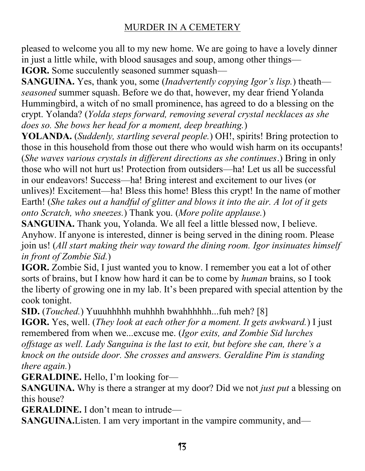pleased to welcome you all to my new home. We are going to have a lovely dinner in just a little while, with blood sausages and soup, among other things— **IGOR.** Some succulently seasoned summer squash—

**SANGUINA.** Yes, thank you, some *(Inadvertently copying Igor's lisp.)* theath *seasoned* summer squash. Before we do that, however, my dear friend Yolanda Hummingbird, a witch of no small prominence, has agreed to do a blessing on the crypt. Yolanda? (*Yolda steps forward, removing several crystal necklaces as she does so. She bows her head for a moment, deep breathing.*)

**YOLANDA.** (*Suddenly, startling several people.*) OH!, spirits! Bring protection to those in this household from those out there who would wish harm on its occupants! (*She waves various crystals in different directions as she continues*.) Bring in only those who will not hurt us! Protection from outsiders—ha! Let us all be successful in our endeavors! Success—ha! Bring interest and excitement to our lives (or unlives)! Excitement—ha! Bless this home! Bless this crypt! In the name of mother Earth! (*She takes out a handful of glitter and blows it into the air. A lot of it gets onto Scratch, who sneezes.*) Thank you. (*More polite applause.*)

**SANGUINA.** Thank you, Yolanda. We all feel a little blessed now, I believe. Anyhow. If anyone is interested, dinner is being served in the dining room. Please join us! (*All start making their way toward the dining room. Igor insinuates himself in front of Zombie Sid.*)

**IGOR.** Zombie Sid, I just wanted you to know. I remember you eat a lot of other sorts of brains, but I know how hard it can be to come by *human* brains, so I took the liberty of growing one in my lab. It's been prepared with special attention by the cook tonight.

**SID.** (*Touched.*) Yuuuhhhhh muhhhh bwahhhhhh...fuh meh? [8]

**IGOR.** Yes, well. (*They look at each other for a moment. It gets awkward.*) I just remembered from when we...excuse me. (*Igor exits, and Zombie Sid lurches offstage as well. Lady Sanguina is the last to exit, but before she can, there's a knock on the outside door. She crosses and answers. Geraldine Pim is standing there again.*)

**GERALDINE.** Hello, I'm looking for-

**SANGUINA.** Why is there a stranger at my door? Did we not *just put* a blessing on this house?

**GERALDINE.** I don't mean to intrude—

**SANGUINA.** Listen. I am very important in the vampire community, and—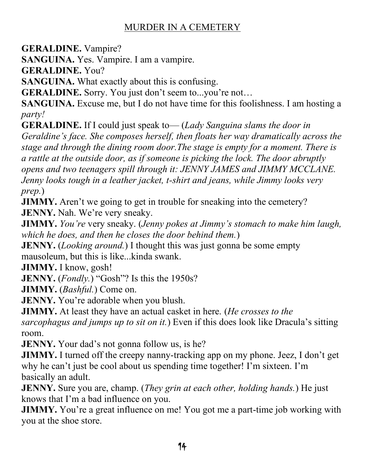**GERALDINE.** Vampire?

**SANGUINA.** Yes. Vampire. I am a vampire.

**GERALDINE.** You?

**SANGUINA.** What exactly about this is confusing.

**GERALDINE.** Sorry. You just don't seem to...you're not...

**SANGUINA.** Excuse me, but I do not have time for this foolishness. I am hosting a *party!*

**GERALDINE.** If I could just speak to — *(Lady Sanguina slams the door in Geraldine's face. She composes herself, then floats her way dramatically across the stage and through the dining room door.The stage is empty for a moment. There is a rattle at the outside door, as if someone is picking the lock. The door abruptly opens and two teenagers spill through it: JENNY JAMES and JIMMY MCCLANE. Jenny looks tough in a leather jacket, t-shirt and jeans, while Jimmy looks very prep.*)

**JIMMY.** Aren't we going to get in trouble for sneaking into the cemetery? **JENNY.** Nah. We're very sneaky.

**JIMMY.** *You're* very sneaky. (*Jenny pokes at Jimmy's stomach to make him laugh, which he does, and then he closes the door behind them.*)

**JENNY.** (*Looking around.*) I thought this was just gonna be some empty mausoleum, but this is like...kinda swank.

**JIMMY.** I know, gosh!

**JENNY.** (*Fondly.*) "Gosh"? Is this the 1950s?

**JIMMY.** (*Bashful.*) Come on.

**JENNY.** You're adorable when you blush.

**JIMMY.** At least they have an actual casket in here. (*He crosses to the* 

*sarcophagus and jumps up to sit on it.*) Even if this does look like Dracula's sitting room.

**JENNY.** Your dad's not gonna follow us, is he?

**JIMMY.** I turned off the creepy nanny-tracking app on my phone. Jeez, I don't get why he can't just be cool about us spending time together! I'm sixteen. I'm basically an adult.

**JENNY.** Sure you are, champ. (*They grin at each other, holding hands.*) He just knows that I'm a bad influence on you.

**JIMMY.** You're a great influence on me! You got me a part-time job working with you at the shoe store.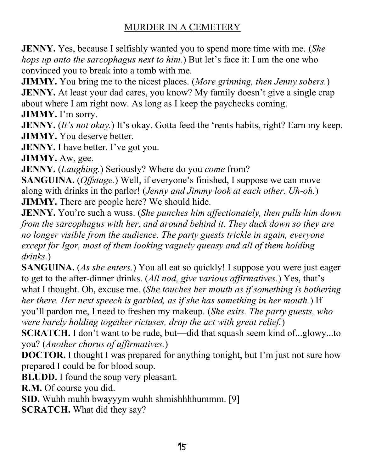**JENNY.** Yes, because I selfishly wanted you to spend more time with me. (*She hops up onto the sarcophagus next to him.*) But let's face it: I am the one who convinced you to break into a tomb with me.

**JIMMY.** You bring me to the nicest places. (*More grinning, then Jenny sobers.*) **JENNY.** At least your dad cares, you know? My family doesn't give a single crap about where I am right now. As long as I keep the paychecks coming. **JIMMY.** I'm sorry.

**JENNY.** (*It's not okay*.) It's okay. Gotta feed the 'rents habits, right? Earn my keep. **JIMMY.** You deserve better.

**JENNY.** I have better. I've got you.

**JIMMY.** Aw, gee.

**JENNY.** (*Laughing.*) Seriously? Where do you *come* from?

**SANGUINA.** (*Offstage.*) Well, if everyone's finished, I suppose we can move along with drinks in the parlor! (*Jenny and Jimmy look at each other. Uh-oh.*) **JIMMY.** There are people here? We should hide.

**JENNY.** You're such a wuss. (*She punches him affectionately, then pulls him down from the sarcophagus with her, and around behind it. They duck down so they are no longer visible from the audience. The party guests trickle in again, everyone except for Igor, most of them looking vaguely queasy and all of them holding drinks.*)

**SANGUINA.** (*As she enters.*) You all eat so quickly! I suppose you were just eager to get to the after-dinner drinks. (*All nod, give various affirmatives*.) Yes, that's what I thought. Oh, excuse me. (*She touches her mouth as if something is bothering her there. Her next speech is garbled, as if she has something in her mouth.*) If \RX¶OOSDUGRQPH,QHHGWRIUHVKHQP\PDNHXS(*She exits. The party guests, who were barely holding together rictuses, drop the act with great relief.*)

**SCRATCH.** I don't want to be rude, but—did that squash seem kind of...glowy...to you? (*Another chorus of affirmatives.*)

**DOCTOR.** I thought I was prepared for anything tonight, but I'm just not sure how prepared I could be for blood soup.

**BLUDD.** I found the soup very pleasant.

**R.M.** Of course you did.

**SID.** Wuhh muhh bwayyym wuhh shmishhhhummm. [9]

**SCRATCH.** What did they say?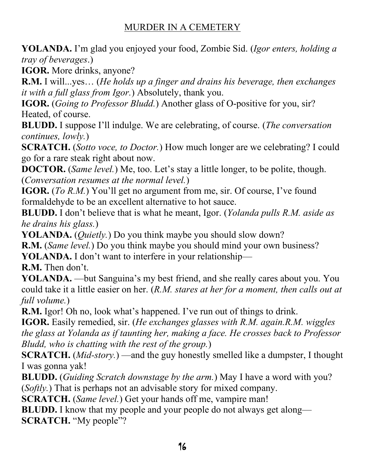**YOLANDA.** I'm glad you enjoyed your food, Zombie Sid. (*Igor enters, holding a tray of beverages*.)

**IGOR.** More drinks, anyone?

**R.M.** I will...yes... (*He holds up a finger and drains his beverage, then exchanges it with a full glass from Igor.*) Absolutely, thank you.

**IGOR.** (*Going to Professor Bludd.*) Another glass of O-positive for you, sir? Heated, of course.

**BLUDD.** I suppose I'll indulge. We are celebrating, of course. (*The conversation continues, lowly.*)

**SCRATCH.** (*Sotto voce, to Doctor.*) How much longer are we celebrating? I could go for a rare steak right about now.

**DOCTOR.** (*Same level.*) Me, too. Let's stay a little longer, to be polite, though. (*Conversation resumes at the normal level.*)

**IGOR.** (*To R.M.*) You'll get no argument from me, sir. Of course, I've found formaldehyde to be an excellent alternative to hot sauce.

**BLUDD.** I don't believe that is what he meant, Igor. (*Yolanda pulls R.M. aside as he drains his glass.*)

**YOLANDA.** (*Quietly.*) Do you think maybe you should slow down?

**R.M.** (*Same level.*) Do you think maybe you should mind your own business?

**YOLANDA.** I don't want to interfere in your relationship—

**R.M.** Then don't.

**YOLANDA.** —but Sanguina's my best friend, and she really cares about you. You could take it a little easier on her. (*R.M. stares at her for a moment, then calls out at full volume.*)

R.M. Igor! Oh no, look what's happened. I've run out of things to drink.

**IGOR.** Easily remedied, sir. (*He exchanges glasses with R.M. again.R.M. wiggles the glass at Yolanda as if taunting her, making a face. He crosses back to Professor Bludd, who is chatting with the rest of the group.*)

**SCRATCH.** (*Mid-story.*) —and the guy honestly smelled like a dumpster, I thought I was gonna yak!

**BLUDD.** (*Guiding Scratch downstage by the arm.*) May I have a word with you? (*Softly.*) That is perhaps not an advisable story for mixed company.

**SCRATCH.** (*Same level.*) Get your hands off me, vampire man!

**BLUDD.** I know that my people and your people do not always get along— **SCRATCH.** "My people"?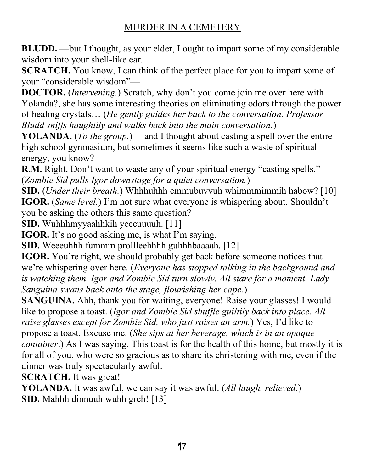**BLUDD.** —but I thought, as your elder, I ought to impart some of my considerable wisdom into your shell-like ear.

**SCRATCH.** You know, I can think of the perfect place for you to impart some of your "considerable wisdom"-

**DOCTOR.** (*Intervening.*) Scratch, why don't you come join me over here with Yolanda?, she has some interesting theories on eliminating odors through the power of healing crystals... (*He gently guides her back to the conversation. Professor Bludd sniffs haughtily and walks back into the main conversation.*)

**YOLANDA.** (*To the group.*) —and I thought about casting a spell over the entire high school gymnasium, but sometimes it seems like such a waste of spiritual energy, you know?

**R.M.** Right. Don't want to waste any of your spiritual energy "casting spells." (*Zombie Sid pulls Igor downstage for a quiet conversation.*)

**SID.** (*Under their breath.*) Whhhuhhh emmubuvvuh whimmmimmih habow? [10] **IGOR.** (*Same level.*) I'm not sure what everyone is whispering about. Shouldn't you be asking the others this same question?

**SID.** Wuhhhmyyaahhkih yeeeuuuuh. [11]

**IGOR.** It's no good asking me, is what I'm saying.

**SID.** Weeeuhhh fummm prollleehhhh guhhhbaaaah. [12]

**IGOR.** You're right, we should probably get back before someone notices that We're whispering over here. (*Everyone has stopped talking in the background and is watching them. Igor and Zombie Sid turn slowly. All stare for a moment. Lady Sanguina swans back onto the stage, flourishing her cape.*)

**SANGUINA.** Ahh, thank you for waiting, everyone! Raise your glasses! I would like to propose a toast. (*Igor and Zombie Sid shuffle guiltily back into place. All raise glasses except for Zombie Sid, who just raises an arm.*) Yes, I'd like to propose a toast. Excuse me. (*She sips at her beverage, which is in an opaque container*.) As I was saying. This toast is for the health of this home, but mostly it is for all of you, who were so gracious as to share its christening with me, even if the dinner was truly spectacularly awful.

**SCRATCH.** It was great!

**YOLANDA.** It was awful, we can say it was awful. (*All laugh, relieved.*) **SID.** Mahhh dinnuuh wuhh greh! [13]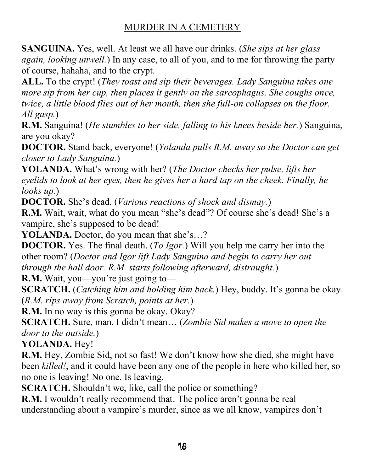**SANGUINA.** Yes, well. At least we all have our drinks. (*She sips at her glass again, looking unwell.*) In any case, to all of you, and to me for throwing the party of course, hahaha, and to the crypt.

**ALL.** To the crypt! (*They toast and sip their beverages. Lady Sanguina takes one more sip from her cup, then places it gently on the sarcophagus. She coughs once, twice, a little blood flies out of her mouth, then she full-on collapses on the floor. All gasp.*)

**R.M.** Sanguina! (*He stumbles to her side, falling to his knees beside her.*) Sanguina, are you okay?

**DOCTOR.** Stand back, everyone! (*Yolanda pulls R.M. away so the Doctor can get closer to Lady Sanguina.*)

**YOLANDA.** What's wrong with her? (*The Doctor checks her pulse, lifts her eyelids to look at her eyes, then he gives her a hard tap on the cheek. Finally, he looks up.*)

**DOCTOR.** She's dead. (*Various reactions of shock and dismay.*)

**R.M.** Wait, wait, what do you mean "she's dead"? Of course she's dead! She's a vampire, she's supposed to be dead!

**YOLANDA.** Doctor, do you mean that she's...?

**DOCTOR.** Yes. The final death. (*To Igor.*) Will you help me carry her into the other room? (*Doctor and Igor lift Lady Sanguina and begin to carry her out through the hall door. R.M. starts following afterward, distraught.*)

**R.M.** Wait, you—you're just going to—

**SCRATCH.** (*Catching him and holding him back.*) Hey, buddy. It's gonna be okay. (*R.M. rips away from Scratch, points at her.*)

**R.M.** In no way is this gonna be okay. Okay?

**SCRATCH.** Sure, man. I didn't mean... (*Zombie Sid makes a move to open the door to the outside.*)

**YOLANDA.** Hey!

**R.M.** Hey, Zombie Sid, not so fast! We don't know how she died, she might have been *killed!*, and it could have been any one of the people in here who killed her, so no one is leaving! No one. Is leaving.

**SCRATCH.** Shouldn't we, like, call the police or something?

**R.M.** I wouldn't really recommend that. The police aren't gonna be real understanding about a vampire's murder, since as we all know, vampires don't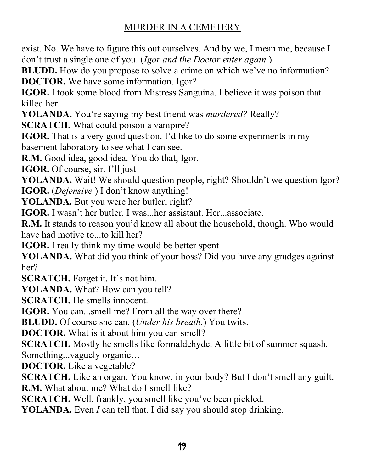exist. No. We have to figure this out ourselves. And by we, I mean me, because I don't trust a single one of you. (*Igor and the Doctor enter again.*)

**BLUDD.** How do you propose to solve a crime on which we've no information? **DOCTOR.** We have some information. Igor?

**IGOR.** I took some blood from Mistress Sanguina. I believe it was poison that killed her.

**YOLANDA.** You're saying my best friend was *murdered*? Really?

**SCRATCH.** What could poison a vampire?

**IGOR.** That is a very good question. I'd like to do some experiments in my basement laboratory to see what I can see.

**R.M.** Good idea, good idea. You do that, Igor.

**IGOR.** Of course, sir. I'll just—

**YOLANDA.** Wait! We should question people, right? Shouldn't we question Igor? **IGOR.** (*Defensive.*) I don't know anything!

**YOLANDA.** But you were her butler, right?

**IGOR.** I wasn't her butler. I was...her assistant. Her...associate.

**R.M.** It stands to reason you'd know all about the household, though. Who would have had motive to...to kill her?

**IGOR.** I really think my time would be better spent—

**YOLANDA.** What did you think of your boss? Did you have any grudges against her?

**SCRATCH.** Forget it. It's not him.

**YOLANDA.** What? How can you tell?

**SCRATCH.** He smells innocent.

**IGOR.** You can...smell me? From all the way over there?

**BLUDD.** Of course she can. (*Under his breath.*) You twits.

**DOCTOR.** What is it about him you can smell?

**SCRATCH.** Mostly he smells like formaldehyde. A little bit of summer squash. Something...vaguely organic...

**DOCTOR.** Like a vegetable?

**SCRATCH.** Like an organ. You know, in your body? But I don't smell any guilt. **R.M.** What about me? What do I smell like?

**SCRATCH.** Well, frankly, you smell like you've been pickled.

**YOLANDA.** Even *I* can tell that. I did say you should stop drinking.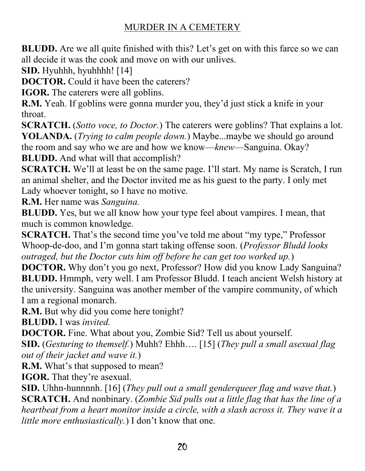**BLUDD.** Are we all quite finished with this? Let's get on with this farce so we can all decide it was the cook and move on with our unlives.

**SID.** Hyuhhh, hyuhhhh! [14]

**DOCTOR.** Could it have been the caterers?

**IGOR.** The caterers were all goblins.

**R.M.** Yeah. If goblins were gonna murder you, they'd just stick a knife in your throat.

**SCRATCH.** (*Sotto voce, to Doctor.*) The caterers were goblins? That explains a lot. **YOLANDA.** (*Trying to calm people down.*) Maybe...maybe we should go around the room and say who we are and how we know—*knew*—Sanguina. Okay? **BLUDD.** And what will that accomplish?

**SCRATCH.** We'll at least be on the same page. I'll start. My name is Scratch, I run an animal shelter, and the Doctor invited me as his guest to the party. I only met Lady whoever tonight, so I have no motive.

**R.M.** Her name was *Sanguina.*

**BLUDD.** Yes, but we all know how your type feel about vampires. I mean, that much is common knowledge.

**SCRATCH.** That's the second time you've told me about "my type," Professor Whoop-de-doo, and I'm gonna start taking offense soon. (*Professor Bludd looks outraged, but the Doctor cuts him off before he can get too worked up.*)

**DOCTOR.** Why don't you go next, Professor? How did you know Lady Sanguina? **BLUDD.** Hmmph, very well. I am Professor Bludd. I teach ancient Welsh history at the university. Sanguina was another member of the vampire community, of which I am a regional monarch.

**R.M.** But why did you come here tonight?

**BLUDD.** I was *invited.*

**DOCTOR.** Fine. What about you, Zombie Sid? Tell us about yourself.

**SID.** (*Gesturing to themself.*) Muhh? Ehhh.... [15] (*They pull a small asexual flag out of their jacket and wave it.*)

**R.M.** What's that supposed to mean?

**IGOR.** That they're asexual.

**SID.** Uhhn-hunnnnh. [16] (*They pull out a small genderqueer flag and wave that.*) **SCRATCH.** And nonbinary. (*Zombie Sid pulls out a little flag that has the line of a heartbeat from a heart monitor inside a circle, with a slash across it. They wave it a little more enthusiastically.*) I don't know that one.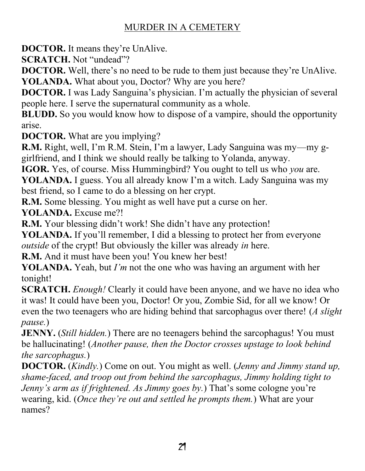**DOCTOR.** It means they're UnAlive.

**SCRATCH.** Not "undead"?

**DOCTOR.** Well, there's no need to be rude to them just because they're UnAlive. **YOLANDA.** What about you, Doctor? Why are you here?

**DOCTOR.** I was Lady Sanguina's physician. I'm actually the physician of several people here. I serve the supernatural community as a whole.

**BLUDD.** So you would know how to dispose of a vampire, should the opportunity arise.

**DOCTOR.** What are you implying?

**R.M.** Right, well, I'm R.M. Stein, I'm a lawyer, Lady Sanguina was my—my ggirlfriend, and I think we should really be talking to Yolanda, anyway.

**IGOR.** Yes, of course. Miss Hummingbird? You ought to tell us who *you* are.

**YOLANDA.** I guess. You all already know I'm a witch. Lady Sanguina was my best friend, so I came to do a blessing on her crypt.

**R.M.** Some blessing. You might as well have put a curse on her.

**YOLANDA.** Excuse me?!

**R.M.** Your blessing didn't work! She didn't have any protection!

YOLANDA. If you'll remember, I did a blessing to protect her from everyone *outside* of the crypt! But obviously the killer was already *in* here.

**R.M.** And it must have been you! You knew her best!

**YOLANDA.** Yeah, but *I'm* not the one who was having an argument with her tonight!

**SCRATCH.** *Enough!* Clearly it could have been anyone, and we have no idea who it was! It could have been you, Doctor! Or you, Zombie Sid, for all we know! Or even the two teenagers who are hiding behind that sarcophagus over there! (*A slight pause.*)

**JENNY.** (*Still hidden.*) There are no teenagers behind the sarcophagus! You must be hallucinating! (*Another pause, then the Doctor crosses upstage to look behind the sarcophagus.*)

**DOCTOR.** (*Kindly.*) Come on out. You might as well. (*Jenny and Jimmy stand up, shame-faced, and troop out from behind the sarcophagus, Jimmy holding tight to Jenny's arm as if frightened. As Jimmy goes by.*) That's some cologne you're wearing, kid. (*Once they're out and settled he prompts them.*) What are your names?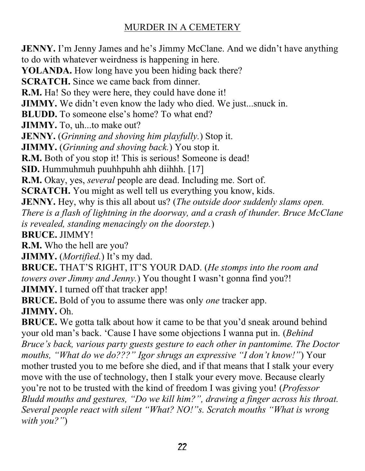**JENNY.** I'm Jenny James and he's Jimmy McClane. And we didn't have anything to do with whatever weirdness is happening in here. **YOLANDA.** How long have you been hiding back there? **SCRATCH.** Since we came back from dinner. **R.M.** Ha! So they were here, they could have done it! **JIMMY.** We didn't even know the lady who died. We just...snuck in. **BLUDD.** To someone else's home? To what end? JIMMY. To, uh...to make out? **JENNY.** (*Grinning and shoving him playfully.*) Stop it. **JIMMY.** (*Grinning and shoving back.*) You stop it. **R.M.** Both of you stop it! This is serious! Someone is dead! **SID.** Hummuhmuh puuhhpuhh ahh diihhh. [17] **R.M.** Okay, yes, *several* people are dead. Including me. Sort of. **SCRATCH.** You might as well tell us everything you know, kids. **JENNY.** Hey, why is this all about us? (*The outside door suddenly slams open. There is a flash of lightning in the doorway, and a crash of thunder. Bruce McClane is revealed, standing menacingly on the doorstep.*) **BRUCE.** JIMMY! **R.M.** Who the hell are you? **JIMMY.** (*Mortified.*) It's my dad. **BRUCE.** THAT'S RIGHT, IT'S YOUR DAD. (He stomps into the room and *towers over Jimmy and Jenny.*) You thought I wasn't gonna find you?! **JIMMY.** I turned off that tracker app! **BRUCE.** Bold of you to assume there was only *one* tracker app. **JIMMY.** Oh. **BRUCE.** We gotta talk about how it came to be that you'd sneak around behind your old man's back. 'Cause I have some objections I wanna put in. (*Behind Bruce's back, various party guests gesture to each other in pantomime. The Doctor PRYINGREER:* "*What do we do???"* Igor shrugs an expressive "I don't know!") Your mother trusted you to me before she died, and if that means that I stalk your every move with the use of technology, then I stalk your every move. Because clearly you're not to be trusted with the kind of freedom I was giving you! (*Professor Bludd mouths and gestures, "Do we kill him?", drawing a finger across his throat. Several people react with silent "What? NO!"s. Scratch mouths "What is wrong with you?*")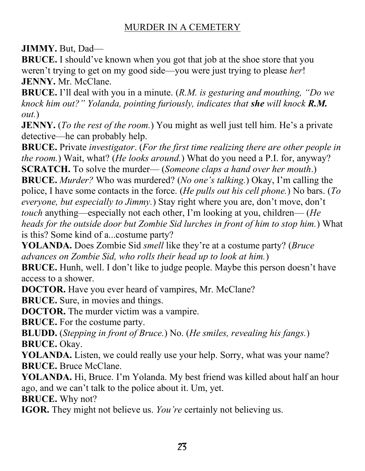**JIMMY.** But, Dad—

**BRUCE.** I should've known when you got that job at the shoe store that you weren't trying to get on my good side—you were just trying to please *her*! **JENNY.** Mr. McClane.

**BRUCE.** I'll deal with you in a minute. (*R.M. is gesturing and mouthing, "Do we knock him out?*" *Yolanda, pointing furiously, indicates that she will knock R.M. out.*)

**JENNY.** (*To the rest of the room.*) You might as well just tell him. He's a private detective—he can probably help.

**BRUCE.** Private *investigator*. (*For the first time realizing there are other people in the room.*) Wait, what? (*He looks around.*) What do you need a P.I. for, anyway? **SCRATCH.** To solve the murder— (*Someone claps a hand over her mouth*.)

**BRUCE.** *Murder*? Who was murdered? (*No one's talking.*) Okay, I'm calling the police, I have some contacts in the force. (*He pulls out his cell phone.*) No bars. (*To everyone, but especially to Jimmy.*) Stay right where you are, don't move, don't *touch* anything—especially not each other, I'm looking at you, children—(*He heads for the outside door but Zombie Sid lurches in front of him to stop him.*) What is this? Some kind of a...costume party?

**YOLANDA.** Does Zombie Sid *smell* like they're at a costume party? (*Bruce advances on Zombie Sid, who rolls their head up to look at him.*)

**BRUCE.** Hunh, well. I don't like to judge people. Maybe this person doesn't have access to a shower.

**DOCTOR.** Have you ever heard of vampires, Mr. McClane?

**BRUCE.** Sure, in movies and things.

**DOCTOR.** The murder victim was a vampire.

**BRUCE.** For the costume party.

**BLUDD.** (*Stepping in front of Bruce.*) No. (*He smiles, revealing his fangs.*) **BRUCE.** Okay.

**YOLANDA.** Listen, we could really use your help. Sorry, what was your name? **BRUCE.** Bruce McClane.

**YOLANDA.** Hi, Bruce. I'm Yolanda. My best friend was killed about half an hour ago, and we can't talk to the police about it. Um, yet.

**BRUCE.** Why not?

**IGOR.** They might not believe us. *You're* certainly not believing us.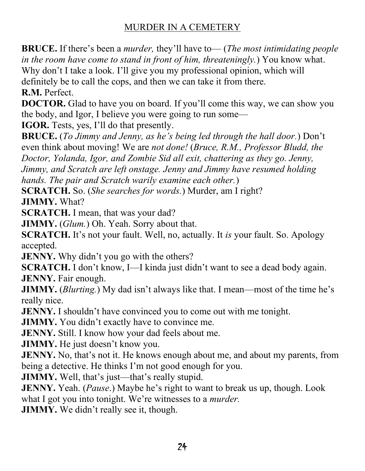**BRUCE.** If there's been a *murder*, they'll have to— (*The most intimidating people in the room have come to stand in front of him, threateningly.*) You know what. Why don't I take a look. I'll give you my professional opinion, which will definitely be to call the cops, and then we can take it from there. **R.M.** Perfect.

**DOCTOR.** Glad to have you on board. If you'll come this way, we can show you the body, and Igor, I believe you were going to run some—

**IGOR.** Tests, yes, I'll do that presently.

**BRUCE.** (*To Jimmy and Jenny, as he's being led through the hall door.*) Don't even think about moving! We are *not done!* (*Bruce, R.M., Professor Bludd, the Doctor, Yolanda, Igor, and Zombie Sid all exit, chattering as they go. Jenny, Jimmy, and Scratch are left onstage. Jenny and Jimmy have resumed holding hands. The pair and Scratch warily examine each other.*)

**SCRATCH.** So. (*She searches for words.*) Murder, am I right? **JIMMY.** What?

**SCRATCH.** I mean, that was your dad?

**JIMMY.** (*Glum.*) Oh. Yeah. Sorry about that.

**SCRATCH.** It's not your fault. Well, no, actually. It is your fault. So. Apology accepted.

**JENNY.** Why didn't you go with the others?

**SCRATCH.** I don't know, I—I kinda just didn't want to see a dead body again. **JENNY.** Fair enough.

**JIMMY.** *(Blurting.)* My dad isn't always like that. I mean—most of the time he's really nice.

**JENNY.** I shouldn't have convinced you to come out with me tonight.

**JIMMY.** You didn't exactly have to convince me.

**JENNY.** Still. I know how your dad feels about me.

**JIMMY.** He just doesn't know you.

**JENNY.** No, that's not it. He knows enough about me, and about my parents, from being a detective. He thinks I'm not good enough for you.

**JIMMY.** Well, that's just—that's really stupid.

**JENNY.** Yeah. (*Pause*.) Maybe he's right to want to break us up, though. Look what I got you into tonight. We're witnesses to a *murder*.

**JIMMY.** We didn't really see it, though.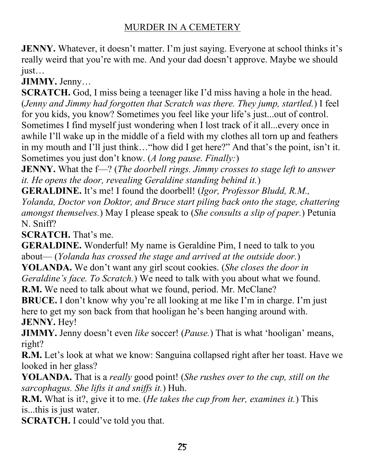**JENNY.** Whatever, it doesn't matter. I'm just saying. Everyone at school thinks it's really weird that you're with me. And your dad doesn't approve. Maybe we should  $just...$ 

**JIMMY.** Jenny...

**SCRATCH.** God, I miss being a teenager like I'd miss having a hole in the head. (*Jenny and Jimmy had forgotten that Scratch was there. They jump, startled.*) I feel for you kids, you know? Sometimes you feel like your life's just...out of control. Sometimes I find myself just wondering when I lost track of it all...every once in awhile I'll wake up in the middle of a field with my clothes all torn up and feathers in my mouth and I'll just think... "how did I get here?" And that's the point, isn't it. Sometimes you just don't know. (*A long pause. Finally:*)

**JENNY.** What the f-? (*The doorbell rings. Jimmy crosses to stage left to answer it. He opens the door, revealing Geraldine standing behind it.*)

**GERALDINE.** It's me! I found the doorbell! *(Igor, Professor Bludd, R.M., Yolanda, Doctor von Doktor, and Bruce start piling back onto the stage, chattering amongst themselves.*) May I please speak to (*She consults a slip of paper.*) Petunia

N. Sniff?

**SCRATCH.** That's me.

**GERALDINE.** Wonderful! My name is Geraldine Pim, I need to talk to you about—(*Yolanda has crossed the stage and arrived at the outside door.*)

**YOLANDA.** We don't want any girl scout cookies. (*She closes the door in Geraldine's face. To Scratch.*) We need to talk with you about what we found.

**R.M.** We need to talk about what we found, period. Mr. McClane?

**BRUCE.** I don't know why you're all looking at me like I'm in charge. I'm just here to get my son back from that hooligan he's been hanging around with. **JENNY.** Hey!

**JIMMY.** Jenny doesn't even *like* soccer! (*Pause.*) That is what 'hooligan' means, right?

**R.M.** Let's look at what we know: Sanguina collapsed right after her toast. Have we looked in her glass?

**YOLANDA.** That is a *really* good point! (*She rushes over to the cup, still on the sarcophagus. She lifts it and sniffs it.*) Huh.

**R.M.** What is it?, give it to me. (*He takes the cup from her, examines it.*) This is...this is just water.

**SCRATCH.** I could've told you that.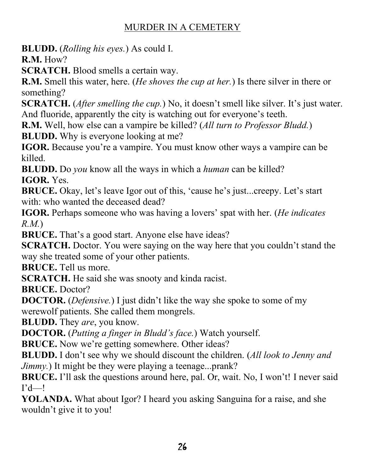**BLUDD.** (*Rolling his eyes.*) As could I.

**R.M.** How?

**SCRATCH.** Blood smells a certain way.

**R.M.** Smell this water, here. (*He shoves the cup at her.*) Is there silver in there or something?

**SCRATCH.** (*After smelling the cup.*) No, it doesn't smell like silver. It's just water. And fluoride, apparently the city is watching out for everyone's teeth.

**R.M.** Well, how else can a vampire be killed? (*All turn to Professor Bludd.*) **BLUDD.** Why is everyone looking at me?

**IGOR.** Because you're a vampire. You must know other ways a vampire can be killed.

**BLUDD.** Do *you* know all the ways in which a *human* can be killed? **IGOR.** Yes.

**BRUCE.** Okay, let's leave Igor out of this, 'cause he's just...creepy. Let's start with: who wanted the deceased dead?

**IGOR.** Perhaps someone who was having a lovers' spat with her. (*He indicates R.M.*)

**BRUCE.** That's a good start. Anyone else have ideas?

**SCRATCH.** Doctor. You were saying on the way here that you couldn't stand the way she treated some of your other patients.

**BRUCE.** Tell us more.

**SCRATCH.** He said she was snooty and kinda racist.

**BRUCE.** Doctor?

**DOCTOR.** (*Defensive.*) I just didn't like the way she spoke to some of my werewolf patients. She called them mongrels.

**BLUDD.** They *are*, you know.

**DOCTOR.** (*Putting a finger in Bludd's face.*) Watch yourself.

**BRUCE.** Now we're getting somewhere. Other ideas?

**BLUDD.** I don't see why we should discount the children. (All look to Jenny and *Jimmy.*) It might be they were playing a teenage...prank?

**BRUCE.** I'll ask the questions around here, pal. Or, wait. No, I won't! I never said  $\Gamma$ d—!

**YOLANDA.** What about Igor? I heard you asking Sanguina for a raise, and she wouldn't give it to you!